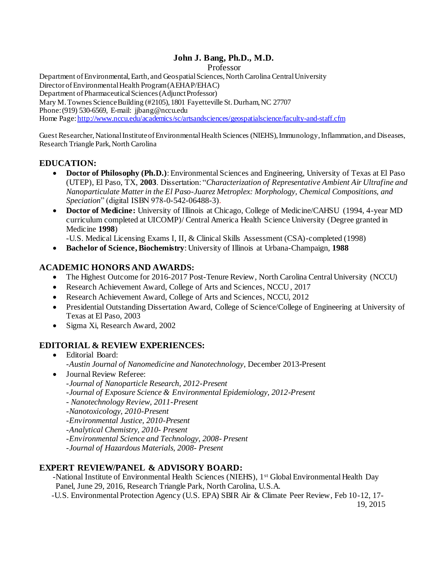# **John J. Bang, Ph.D., M.D.**

Professor

Department of Environmental, Earth, and Geospatial Sciences, North Carolina Central University Director of Environmental Health Program (AEHAP/EHAC) Department of Pharmaceutical Sciences (Adjunct Professor) Mary M. Townes Science Building (#2105), 1801 Fayetteville St. Durham, NC 27707 Phone: (919) 530-6569, E-mail: jjbang@nccu.edu Home Page: http://www.nccu.edu/academics/sc/artsandsciences/geospatialscience/faculty-and-staff.cfm

Guest Researcher, National Institute of Environmental Health Sciences (NIEHS), Immunology, Inflammation, and Diseases, Research Triangle Park, North Carolina

## **EDUCATION:**

- Doctor of Philosophy (Ph.D.): Environmental Sciences and Engineering, University of Texas at El Paso (UTEP), El Paso, TX, **2003**. Dissertation: "*Characterization of Representative Ambient Air Ultrafine and Nanoparticulate Matter in the El Paso-Juarez Metroplex: Morphology, Chemical Compositions, and Speciation*" (digital ISBN 978-0-542-06488-3).
- Doctor of Medicine: University of Illinois at Chicago, College of Medicine/CAHSU (1994, 4-year MD) curriculum completed at UICOMP)/ Central America Health Science University (Degree granted in Medicine **1998**)

-U.S. Medical Licensing Exams I, II, & Clinical Skills Assessment (CSA)-completed (1998)

**Bachelor of Science, Biochemistry**: University of Illinois at Urbana-Champaign, **1988**

## **ACADEMIC HONORS AND AWARDS:**

- The Highest Outcome for 2016-2017 Post-Tenure Review, North Carolina Central University (NCCU)
- Research Achievement Award, College of Arts and Sciences, NCCU , 2017
- Research Achievement Award, College of Arts and Sciences, NCCU, 2012
- Presidential Outstanding Dissertation Award, College of Science/College of Engineering at University of Texas at El Paso, 2003
- Sigma Xi, Research Award, 2002

# **EDITORIAL & REVIEW EXPERIENCES:**

- Editorial Board: -*Austin Journal of Nanomedicine and Nanotechnology*, December 2013-Present
- Journal Review Referee: -*Journal of Nanoparticle Research, 2012-Present* -*Journal of Exposure Science & Environmental Epidemiology, 2012-Present*
	- *Nanotechnology Review, 2011-Present*
	- *-Nanotoxicology, 2010-Present*
	- *-Environmental Justice, 2010-Present*
	- *-Analytical Chemistry, 2010- Present*
	- *-Environmental Science and Technology, 2008- Present*
	- *-Journal of Hazardous Materials, 2008- Present*

## **EXPERT REVIEW/PANEL & ADVISORY BOARD:**

-National Institute of Environmental Health Sciences (NIEHS), 1<sup>st</sup> Global Environmental Health Day Panel, June 29, 2016, Research Triangle Park, North Carolina, U.S.A.

 -U.S. Environmental Protection Agency (U.S. EPA) SBIR Air & Climate Peer Review, Feb 10-12, 17- 19, 2015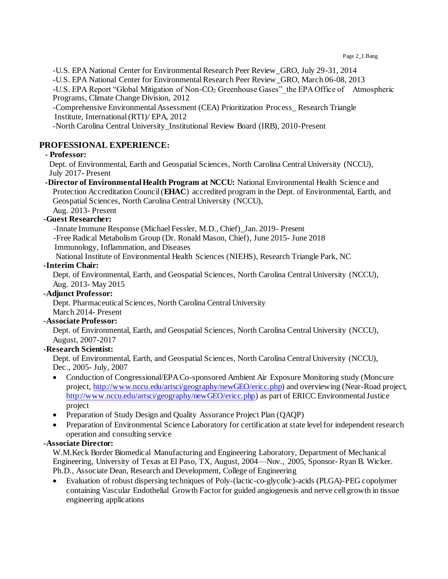-U.S. EPA National Center for Environmental Research Peer Review\_GRO, July 29-31, 2014

-U.S. EPA National Center for Environmental Research Peer Review\_GRO, March 06-08, 2013

-U.S. EPA Report "Global Mitigation of Non-CO<sub>2</sub> Greenhouse Gases" the EPA Office of Atmospheric Programs, Climate Change Division, 2012

-Comprehensive Environmental Assessment (CEA) Prioritization Process\_ Research Triangle Institute, International (RTI)/ EPA, 2012

-North Carolina Central University\_Institutional Review Board (IRB), 2010-Present

#### **PROFESSIONAL EXPERIENCE:**

#### **- Professor:**

Dept. of Environmental, Earth and Geospatial Sciences, North Carolina Central University (NCCU), July 2017- Present

 **-Director of Environmental Health Program at NCCU:** National Environmental Health Science and Protection Accreditation Council (**EHAC**) accredited program in the Dept. of Environmental, Earth, and Geospatial Sciences, North Carolina Central University (NCCU),

Aug. 2013- Present

#### **-Guest Researcher:**

-Innate Immune Response (Michael Fessler, M.D., Chief)\_Jan. 2019- Present

-Free Radical Metabolism Group (Dr. Ronald Mason, Chief), June 2015- June 2018

Immunology, Inflammation, and Diseases

National Institute of Environmental Health Sciences (NIEHS), Research Triangle Park, NC

## **-Interim Chair:**

Dept. of Environmental, Earth, and Geospatial Sciences, North Carolina Central University (NCCU), Aug. 2013- May 2015

#### **-Adjunct Professor:**

Dept. Pharmaceutical Sciences, North Carolina Central University March 2014- Present

#### **-Associate Professor:**

Dept. of Environmental, Earth, and Geospatial Sciences, North Carolina Central University (NCCU), August, 2007-2017

#### **-Research Scientist:**

Dept. of Environmental, Earth, and Geospatial Sciences, North Carolina Central University (NCCU), Dec., 2005- July, 2007

- Conduction of Congressional/EPA Co-sponsored Ambient Air Exposure Monitoring study (Moncure project[, http://www.nccu.edu/artsci/geography/newGEO/ericc.php](http://www.nccu.edu/artsci/geography/newGEO/ericc.php)) and overviewing (Near-Road project, <http://www.nccu.edu/artsci/geography/newGEO/ericc.php>) as part of ERICC Environmental Justice project
- Preparation of Study Design and Quality Assurance Project Plan (OAQP)
- Preparation of Environmental Science Laboratory for certification at state level for independent research operation and consulting service

#### **-Associate Director:**

W.M.Keck Border Biomedical Manufacturing and Engineering Laboratory, Department of Mechanical Engineering, University of Texas at El Paso, TX, August, 2004—Nov., 2005, Sponsor- Ryan B. Wicker. Ph.D., Associate Dean, Research and Development, College of Engineering

 Evaluation of robust dispersing techniques of Poly-(lactic-co-glycolic)-acids (PLGA)-PEG copolymer containing Vascular Endothelial Growth Factor for guided angiogenesis and nerve cell growth in tissue engineering applications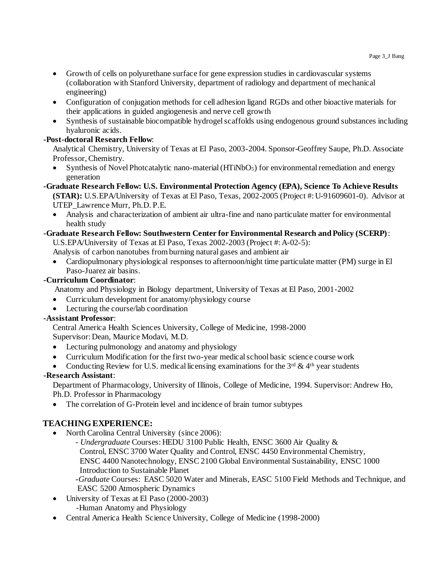- Growth of cells on polyurethane surface for gene expression studies in cardiovascular systems (collaboration with Stanford University, department of radiology and department of mechanical engineering)
- Configuration of conjugation methods for cell adhesion ligand RGDs and other bioactive materials for their applications in guided angiogenesis and nerve cell growth
- Synthesis of sustainable biocompatible hydrogel scaffolds using endogenous ground substances including hyaluronic acids.

## **-Post-doctoral Research Fellow**:

Analytical Chemistry, University of Texas at El Paso, 2003-2004. Sponsor-Geoffrey Saupe, Ph.D. Associate Professor, Chemistry.

- Synthesis of Novel Photcatalytic nano-material  $(HTiNbO<sub>5</sub>)$  for environmental remediation and energy generation
- **-Graduate Research Fellow: U.S. Environmental Protection Agency (EPA), Science To Achieve Results (STAR):** U.S.EPA/University of Texas at El Paso, Texas, 2002-2005 (Project #: U-91609601-0). Advisor at UTEP\_Lawrence Murr, Ph.D. P.E.
	- Analysis and characterization of ambient air ultra-fine and nano particulate matter for environmental health study

## **-Graduate Research Fellow: Southwestern Center for Environmental Research and Policy (SCERP)**:

U.S.EPA/University of Texas at El Paso, Texas 2002-2003 (Project #: A-02-5):

Analysis of carbon nanotubes from burning natural gases and ambient air

 Cardiopulmonary physiological responses to afternoon/night time particulate matter (PM) surge in El Paso-Juarez air basins.

## **-Curriculum Coordinator**:

Anatomy and Physiology in Biology department, University of Texas at El Paso, 2001-2002

- Curriculum development for anatomy/physiology course
- Lecturing the course/lab coordination

# **-Assistant Professor**:

Central America Health Sciences University, College of Medicine, 1998-2000 Supervisor: Dean, Maurice Modavi, M.D.

- Lecturing pulmonology and anatomy and physiology
- Curriculum Modification for the first two-year medical school basic science course work
- Conducting Review for U.S. medical licensing examinations for the  $3<sup>rd</sup>$  &  $4<sup>th</sup>$  year students

# **-Research Assistant**:

Department of Pharmacology, University of Illinois, College of Medicine, 1994. Supervisor: Andrew Ho, Ph.D. Professor in Pharmacology

• The correlation of G-Protein level and incidence of brain tumor subtypes

# **TEACHING EXPERIENCE:**

- North Carolina Central University (since 2006):
	- *Undergraduate* Courses: HEDU 3100 Public Health, ENSC 3600 Air Quality & Control, ENSC 3700 Water Quality and Control, ENSC 4450 Environmental Chemistry, ENSC 4400 Nanotechnology, ENSC 2100 Global Environmental Sustainability, ENSC 1000 Introduction to Sustainable Planet
	- -*Graduate* Courses: EASC 5020 Water and Minerals, EASC 5100 Field Methods and Technique, and EASC 5200 Atmospheric Dynamics
- University of Texas at El Paso (2000-2003) -Human Anatomy and Physiology
- Central America Health Science University, College of Medicine (1998-2000)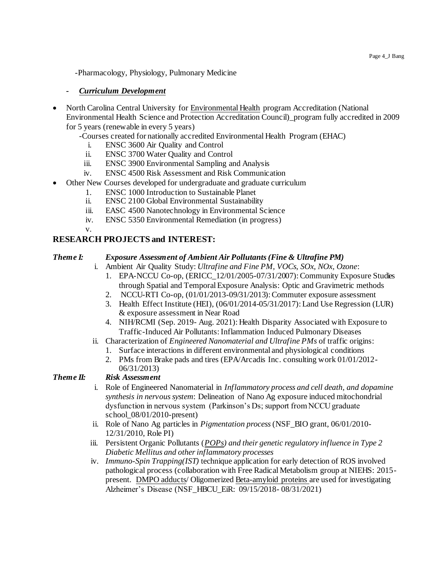-Pharmacology, Physiology, Pulmonary Medicine

#### *- Curriculum Development*

- North Carolina Central University for Environmental Health program Accreditation (National Environmental Health Science and Protection Accreditation Council)\_program fully accredited in 2009 for 5 years (renewable in every 5 years)
	- -Courses created for nationally accredited Environmental Health Program (EHAC)
		- i. ENSC 3600 Air Quality and Control
		- ii. ENSC 3700 Water Quality and Control
		- iii. ENSC 3900 Environmental Sampling and Analysis
		- iv. ENSC 4500 Risk Assessment and Risk Communication
- Other New Courses developed for undergraduate and graduate curriculum
	- 1. ENSC 1000 Introduction to Sustainable Planet
	- ii. ENSC 2100 Global Environmental Sustainability
	- iii. EASC 4500 Nanotechnology in Environmental Science
	- iv. ENSC 5350 Environmental Remediation (in progress)
	- v.

## **RESEARCH PROJECTS and INTEREST:**

#### *Theme I: Exposure Assessment of Ambient Air Pollutants (Fine & Ultrafine PM)*

i. Ambient Air Quality Study: *Ultrafine and Fine PM, VOCs, SOx, NOx, Ozone*:

- 1. EPA-NCCU Co-op, (ERICC\_12/01/2005-07/31/2007): Community Exposure Studies through Spatial and Temporal Exposure Analysis: Optic and Gravimetric methods
- 2. NCCU-RTI Co-op, (01/01/2013-09/31/2013): Commuter exposure assessment
- 3. Health Effect Institute (HEI), (06/01/2014-05/31/2017): Land Use Regression (LUR) & exposure assessment in Near Road
- 4. NIH/RCMI (Sep. 2019- Aug. 2021): Health Disparity Associated with Exposure to Traffic-Induced Air Pollutants: Inflammation Induced Pulmonary Diseases
- ii. Characterization of *Engineered Nanomaterial and Ultrafine PMs* of traffic origins:
	- 1. Surface interactions in different environmental and physiological conditions
	- 2. PMs from Brake pads and tires (EPA/Arcadis Inc. consulting work 01/01/2012- 06/31/2013)

## *Theme II: Risk Assessment*

- i. Role of Engineered Nanomaterial in *Inflammatory process and cell death, and dopamine synthesis in nervous system*: Delineation of Nano Ag exposure induced mitochondrial dysfunction in nervous system (Parkinson's Ds; support from NCCU graduate school\_08/01/2010-present)
- ii. Role of Nano Ag particles in *Pigmentation process* (NSF\_BIO grant, 06/01/2010- 12/31/2010, Role PI)
- iii. Persistent Organic Pollutants (*POPs) and their genetic regulatory influence in Type 2 Diabetic Mellitus and other inflammatory processes*
- iv. *Immuno-Spin Trapping(IST)* technique application for early detection of ROS involved pathological process (collaboration with Free Radical Metabolism group at NIEHS: 2015 present. DMPO adducts/ Oligomerized Beta-amyloid proteins are used for investigating Alzheimer's Disease (NSF\_HBCU\_EiR: 09/15/2018- 08/31/2021)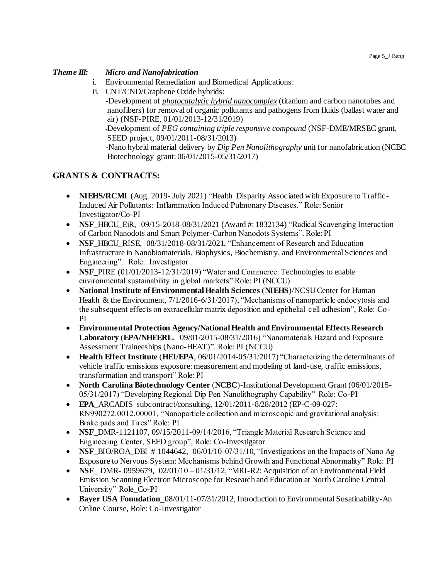#### *Theme III: Micro and Nanofabrication*

- i. Environmental Remediation and Biomedical Applications:
- ii. CNT/CND/Graphene Oxide hybrids:

-Development of *photocatalytic hybrid nanocomplex* (titanium and carbon nanotubes and nanofibers) for removal of organic pollutants and pathogens from fluids (ballast water and air) (NSF-PIRE, 01/01/2013-12/31/2019)

-Development of *PEG containing triple responsive compound* (NSF-DME/MRSEC grant, SEED project, 09/01/2011-08/31/2013)

-Nano hybrid material delivery by *Dip Pen Nanolithography* unit for nanofabrication (NCBC Biotechnology grant: 06/01/2015-05/31/2017)

## **GRANTS & CONTRACTS:**

- **NIEHS/RCMI** (Aug. 2019- July 2021) "Health Disparity Associated with Exposure to Traffic-Induced Air Pollutants: Inflammation Induced Pulmonary Diseases." Role: Senior Investigator/Co-PI
- **NSF** HBCU EiR,  $09/15-2018-08/31/2021$  (Award #: 1832134) "Radical Scavenging Interaction of Carbon Nanodots and Smart Polymer-Carbon Nanodots Systems". Role: PI
- **NSF** HBCU RISE,  $08/31/2018-08/31/2021$ , "Enhancement of Research and Education Infrastructure in Nanobiomaterials, Biophysics, Biochemistry, and Environmental Sciences and Engineering". Role: Investigator
- **NSF** PIRE (01/01/2013-12/31/2019) "Water and Commerce: Technologies to enable environmental sustainability in global markets" Role: PI (NCCU)
- **National Institute of Environmental Health Sciences** (**NIEHS**)/NCSU Center for Human Health & the Environment, 7/1/2016-6/31/2017), "Mechanisms of nanoparticle endocytosis and the subsequent effects on extracellular matrix deposition and epithelial cell adhesion", Role: Co-PI
- **Environmental Protection Agency/National Health and Environmental Effects Research Laboratory** (**EPA/NHEERL**, 09/01/2015-08/31/2016) "Nanomaterials Hazard and Exposure Assessment Traineeships (Nano-HEAT)". Role: PI (NCCU)
- **Health Effect Institute** (**HEI/EPA**, 06/01/2014-05/31/2017) "Characterizing the determinants of vehicle traffic emissions exposure: measurement and modeling of land-use, traffic emissions, transformation and transport" Role: PI
- **North Carolina Biotechnology Center** (**NCBC**)-Institutional Development Grant (06/01/2015- 05/31/2017) "Developing Regional Dip Pen Nanolithography Capability" Role: Co-PI
- **EPA** ARCADIS subcontract/consulting, 12/01/2011-8/28/2012 (EP-C-09-027: RN990272.0012.00001, "Nanoparticle collection and microscopic and gravitational analysis: Brake pads and Tires" Role: PI
- **NSF** DMR-1121107, 09/15/2011-09/14/2016, "Triangle Material Research Science and Engineering Center, SEED group", Role: Co-Investigator
- **NSF**\_BIO/ROA\_DBI  $\#$  1044642, 06/01/10-07/31/10, "Investigations on the Impacts of Nano Ag Exposure to Nervous System: Mechanisms behind Growth and Functional Abnormality" Role: PI
- **NSF** DMR- 0959679,  $02/01/10 01/31/12$ , "MRI-R2: Acquisition of an Environmental Field Emission Scanning Electron Microscope for Research and Education at North Caroline Central University" Role\_Co-PI
- **Bayer USA Foundation\_**08/01/11-07/31/2012, Introduction to Environmental Susatinability-An Online Course, Role: Co-Investigator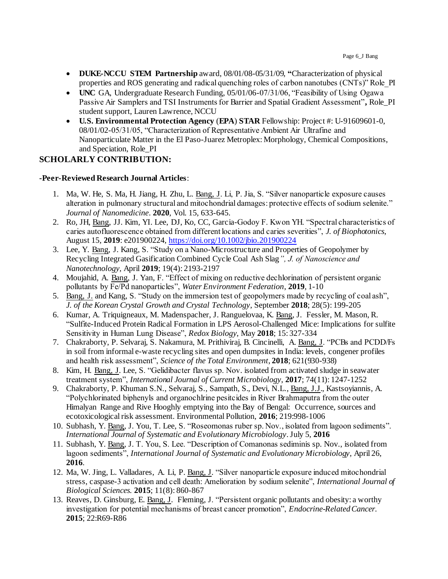- **DUKE-NCCU STEM Partnership** award, 08/01/08-05/31/09, **"**Characterization of physical properties and ROS generating and radical quenching roles of carbon nanotubes (CNTs)" Role\_PI
- UNC GA, Undergraduate Research Funding, 05/01/06-07/31/06, "Feasibility of Using Ogawa Passive Air Samplers and TSI Instruments for Barrier and Spatial Gradient Assessment"**,** Role\_PI student support, Lauren Lawrence, NCCU
- **U.S. Environmental Protection Agency** (**EPA**) **STAR** Fellowship: Project #: U-91609601-0, 08/01/02-05/31/05, "Characterization of Representative Ambient Air Ultrafine and Nanoparticulate Matter in the El Paso-Juarez Metroplex: Morphology, Chemical Compositions, and Speciation, Role\_PI

## **SCHOLARLY CONTRIBUTION:**

#### **-Peer-Reviewed Research Journal Articles**:

- 1. Ma, W. He, S. Ma, H. Jiang, H. Zhu, L. Bang, J. Li, P. Jia, S. "Silver nanoparticle exposure causes alteration in pulmonary structural and mitochondrial damages: protective effects of sodium selenite." *Journal of Nanomedicine*. **2020**, Vol. 15, 633-645.
- 2. Ro, JH, Bang, JJ. Kim, YI. Lee, DJ, Ko, CC, Garcia-Godoy F. Kwon YH. "Spectral characteristics of caries autofluorescence obtained from different locations and caries severities", *J. of Biophotonics*, August 15, **2019**: e201900224[, https://doi.org/10.1002/jbio.201900224](https://doi.org/10.1002/jbio.201900224)
- 3. Lee, Y. Bang, J. Kang, S. "Study on a Nano-Microstructure and Properties of Geopolymer by Recycling Integrated Gasification Combined Cycle Coal Ash Slag*", J. of Nanoscience and Nanotechnology,* April **2019**; 19(4): 2193-2197
- 4. Moujahid, A. Bang, J. Yan, F. "Effect of mixing on reductive dechlorination of persistent organic pollutants by Fe/Pd nanoparticles", *Water Environment Federation*, **2019**, 1-10
- 5. Bang, J. and Kang, S. "Study on the immersion test of geopolymers made by recycling of coal ash", *J. of the Korean Crystal Growth and Crystal Technology*, September **2018**; 28(5): 199-205
- 6. Kumar, A. Triquigneaux, M. Madenspacher, J. Ranguelovaa, K. Bang, J. Fessler, M. Mason, R. "Sulfite-Induced Protein Radical Formation in LPS Aerosol-Challenged Mice: Implications for sulfite Sensitivity in Human Lung Disease", *Redox Biology*, May **2018**; 15: 327-334
- 7. Chakraborty, P. Selvaraj, S. Nakamura, M. Prithiviraj, B. Cincinelli, A. Bang, J. "PCBs and PCDD/Fs in soil from informal e-waste recycling sites and open dumpsites in India: levels, congener profiles and health risk assessment", *Science of the Total Environment*, **2018**; 621(930-938)
- 8. Kim, H. Bang, J. Lee, S. "Gelidibacter flavus sp. Nov. isolated from activated sludge in seawater treatment system", *International Journal of Current Microbiology*, **2017**; 74(11): 1247-1252
- 9. Chakraborty, P. Khuman S.N., Selvaraj, S., Sampath, S., Devi, N.L., Bang, J.J., Kastsoyiannis, A. "Polychlorinated biphenyls and organochlrine pesitcides in River Brahmaputra from the outer Himalyan Range and Rive Hooghly emptying into the Bay of Bengal: Occurrence, sources and ecotoxicological risk assessment. Environmental Pollution, **2016**; 219:998-1006
- 10. Subhash, Y. Bang, J. You, T. Lee, S. "Roseomonas ruber sp. Nov., isolated from lagoon sediments". *International Journal of Systematic and Evolutionary Microbiology*. July 5, **2016**
- 11. Subhash, Y. Bang, J. T. You, S. Lee. "Description of Comanonas sediminis sp. Nov., isolated from lagoon sediments", *International Journal of Systematic and Evolutionary Microbiology*, April 26, **2016**.
- 12. Ma, W. Jing, L. Valladares, A. Li, P. Bang, J. "Silver nanoparticle exposure induced mitochondrial stress, caspase-3 activation and cell death: Amelioration by sodium selenite", *International Journal of Biological Sciences.* **2015**; 11(8): 860-867
- 13. Reaves, D. Ginsburg, E. Bang, J. Fleming, J. "Persistent organic pollutants and obesity: a worthy investigation for potential mechanisms of breast cancer promotion", *Endocrine-Related Cancer*. **2015**; 22:R69-R86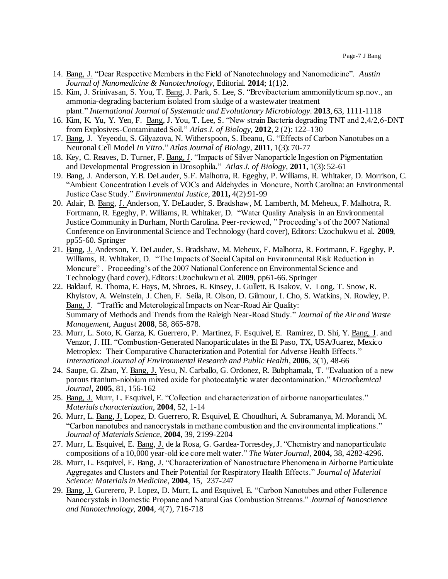- 14. Bang, J. "Dear Respective Members in the Field of Nanotechnology and Nanomedicine". *Austin Journal of Nanomedicine & Nanotechnology*, Editorial. **2014**; 1(1)2.
- 15. Kim, J. Srinivasan, S. You, T. Bang, J. Park, S. Lee, S. "Brevibacterium ammoniilyticum sp.nov., an ammonia-degrading bacterium isolated from sludge of a wastewater treatment plant." *International Journal of Systematic and Evolutionary Microbiology*. **2013**, 63, 1111-1118
- 16. Kim, K. Yu, Y. Yen, F. Bang, J. You, T. Lee, S. "New strain Bacteria degrading TNT and 2,4/2,6-DNT from Explosives-Contaminated Soil." *Atlas J. of Biology,* **2012**, 2 (2): 122–130
- 17. Bang, J. Yeyeodu, S. Gilyazova, N. Witherspoon, S. Ibeanu, G. "Effects of Carbon Nanotubes on a Neuronal Cell Model *In Vitro*." *Atlas Journal of Biology*, **2011**, 1(3): 70-77
- 18. Key, C. Reaves, D. Turner, F. Bang, J. "Impacts of Silver Nanoparticle Ingestion on Pigmentation and Developmental Progression in Drosophila." *Atlas J. of Biology*, **2011**, 1(3): 52-61
- 19. Bang, J. Anderson, Y.B. DeLauder, S.F. Malhotra, R. Egeghy, P. Williams, R. Whitaker, D. Morrison, C. "Ambient Concentration Levels of VOCs and Aldehydes in Moncure, North Carolina: an Environmental Justice Case Study." *Environmental Justice*, **2011,** 4(2):91-99
- 20. Adair, B. Bang, J. Anderson, Y. DeLauder, S. Bradshaw, M. Lamberth, M. Meheux, F. Malhotra, R. Fortmann, R. Egeghy, P. Williams, R. Whitaker, D. "Water Quality Analysis in an Environmental Justice Community in Durham, North Carolina. Peer-reviewed, " Proceeding's of the 2007 National Conference on Environmental Science and Technology (hard cover), Editors: Uzochukwu et al. **2009**, pp55-60. Springer
- 21. Bang, J. Anderson, Y. DeLauder, S. Bradshaw, M. Meheux, F. Malhotra, R. Fortmann, F. Egeghy, P. Williams, R. Whitaker, D. "The Impacts of Social Capital on Environmental Risk Reduction in Moncure" . Proceeding's of the 2007 National Conference on Environmental Science and Technology (hard cover), Editors: Uzochukwu et al. **2009**, pp61-66. Springer
- 22. Baldauf, R. Thoma, E. Hays, M, Shroes, R. Kinsey, J. Gullett, B. Isakov, V. Long, T. Snow, R. Khylstov, A. Weinstein, J. Chen, F. Seila, R. Olson, D. Gilmour, I. Cho, S. Watkins, N. Rowley, P. Bang, J. "Traffic and Meterological Impacts on Near-Road Air Quality: Summary of Methods and Trends from the Raleigh Near-Road Study." *Journal of the Air and Waste Management*, August **2008**, 58, 865-878.
- 23. Murr, L. Soto, K. Garza, K. Guerrero, P. Martinez, F. Esquivel, E. Ramirez, D. Shi, Y. Bang, J. and Venzor, J. III. "Combustion-Generated Nanoparticulates in the El Paso, TX, USA/Juarez, Mexico Metroplex: Their Comparative Characterization and Potential for Adverse Health Effects." *International Journal of Environmental Research and Public Health*, **2006**, 3(1), 48-66
- 24. Saupe, G. Zhao, Y. Bang, J. Yesu, N. Carballo, G. Ordonez, R. Bubphamala, T. "Evaluation of a new porous titanium-niobium mixed oxide for photocatalytic water decontamination." *Microchemical Journal*, **2005**, 81, 156-162
- 25. Bang, J. Murr, L. Esquivel, E. "Collection and characterization of airborne nanoparticulates." *Materials characterization*, **2004**, 52, 1-14
- 26. Murr, L. Bang, J. Lopez, D. Guerrero, R. Esquivel, E. Choudhuri, A. Subramanya, M. Morandi, M. "Carbon nanotubes and nanocrystals in methane combustion and the environmental implications." *Journal of Materials Science*, **2004**, 39, 2199-2204
- 27. Murr, L. Esquivel, E. Bang, J. de la Rosa, G. Gardea-Torresdey, J. "Chemistry and nanoparticulate compositions of a 10,000 year-old ice core melt water." *The Water Journal,* **2004,** 38, 4282-4296.
- 28. Murr, L. Esquivel, E. Bang, J. "Characterization of Nanostructure Phenomena in Airborne Particulate Aggregates and Clusters and Their Potential for Respiratory Health Effects." *Journal of Material Science: Materials in Medicine*, **2004**, 15, 237-247
- 29. Bang, J. Gurerero, P. Lopez, D. Murr, L. and Esquivel, E. "Carbon Nanotubes and other Fullerence Nanocrystals in Domestic Propane and Natural Gas Combustion Streams." *Journal of Nanoscience and Nanotechnology,* **2004**, 4(7), 716-718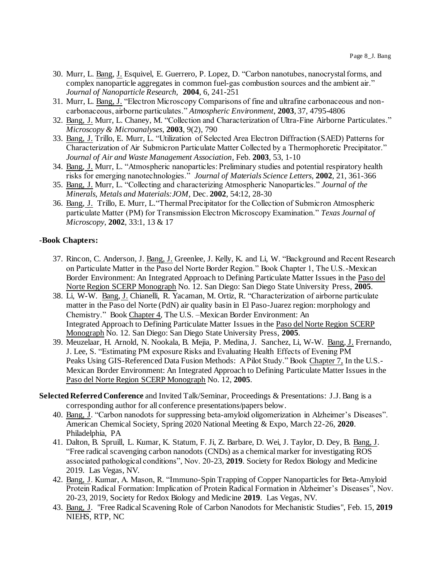- 30. Murr, L. Bang, J. Esquivel, E. Guerrero, P. Lopez, D. "Carbon nanotubes, nanocrystal forms, and complex nanoparticle aggregates in common fuel-gas combustion sources and the ambient air." *Journal of Nanoparticle Research,* **2004**, 6, 241-251
- 31. Murr, L. Bang, J. "Electron Microscopy Comparisons of fine and ultrafine carbonaceous and noncarbonaceous, airborne particulates." *Atmospheric Environment*, **2003**, 37, 4795-4806
- 32. Bang, J. Murr, L. Chaney, M. "Collection and Characterization of Ultra-Fine Airborne Particulates." *Microscopy & Microanalyses*, **2003**, 9(2), 790
- 33. Bang, J. Trillo, E. Murr, L. "Utilization of Selected Area Electron Diffraction (SAED) Patterns for Characterization of Air Submicron Particulate Matter Collected by a Thermophoretic Precipitator." *Journal of Air and Waste Management Association*, Feb. **2003**, 53, 1-10
- 34. Bang, J. Murr, L. "Atmospheric nanoparticles: Preliminary studies and potential respiratory health risks for emerging nanotechnologies." *Journal of Materials Science Letters*, **2002**, 21, 361-366
- 35. Bang, J. Murr, L. "Collecting and characterizing Atmospheric Nanoparticles." *Journal of the Minerals, Metals and Materials:JOM*, Dec. **2002**, 54:12, 28-30
- 36. Bang, J. Trillo, E. Murr, L."Thermal Precipitator for the Collection of Submicron Atmospheric particulate Matter (PM) for Transmission Electron Microscopy Examination." *Texas Journal of Microscopy*, **2002**, 33:1, 13 & 17

#### **-Book Chapters:**

- 37. Rincon, C. Anderson, J. Bang, J. Greenlee, J. Kelly, K. and Li, W. "Background and Recent Research on Particulate Matter in the Paso del Norte Border Region." Book Chapter 1, The U.S.-Mexican Border Environment: An Integrated Approach to Defining Particulate Matter Issues in the Paso del Norte Region SCERP Monograph No. 12. San Diego: San Diego State University Press, **2005**.
- 38. Li, W-W. Bang, J. Chianelli, R. Yacaman, M. Ortiz, R. "Characterization of airborne particulate matter in the Paso del Norte (PdN) air quality basin in El Paso-Juarez region: morphology and Chemistry." Book Chapter 4, The U.S. –Mexican Border Environment: An Integrated Approach to Defining Particulate Matter Issues in the Paso del Norte Region SCERP Monograph No. 12. San Diego: San Diego State University Press, **2005**.
- 39. Meuzelaar, H. Arnold, N. Nookala, B. Mejia, P. Medina, J. Sanchez, Li, W-W. Bang, J. Frernando, J. Lee, S. "Estimating PM exposure Risks and Evaluating Health Effects of Evening PM Peaks Using GIS-Referenced Data Fusion Methods: A Pilot Study." Book Chapter 7, In the U.S.- Mexican Border Environment: An Integrated Approach to Defining Particulate Matter Issues in the Paso del Norte Region SCERP Monograph No. 12, **2005**.

#### **Selected Referred Conference** and Invited Talk/Seminar, Proceedings & Presentations: J.J. Bang is a corresponding author for all conference presentations/papers below.

- 40. Bang, J. "Carbon nanodots for suppressing beta-amyloid oligomerization in Alzheimer's Diseases". American Chemical Society, Spring 2020 National Meeting & Expo, March 22-26, **2020**. Philadelphia, PA
- 41. Dalton, B. Spruill, L. Kumar, K. Statum, F. Ji, Z. Barbare, D. Wei, J. Taylor, D. Dey, B. Bang, J. "Free radical scavenging carbon nanodots (CNDs) as a chemical marker for investigating ROS associated pathological conditions", Nov. 20-23, **2019**. Society for Redox Biology and Medicine 2019. Las Vegas, NV.
- 42. Bang, J. Kumar, A. Mason, R. "Immuno-Spin Trapping of Copper Nanoparticles for Beta-Amyloid Protein Radical Formation: Implication of Protein Radical Formation in Alzheimer's Diseases", Nov. 20-23, 2019, Society for Redox Biology and Medicine **2019**. Las Vegas, NV.
- 43. Bang, J. "Free Radical Scavening Role of Carbon Nanodots for Mechanistic Studies", Feb. 15, **2019** NIEHS, RTP, NC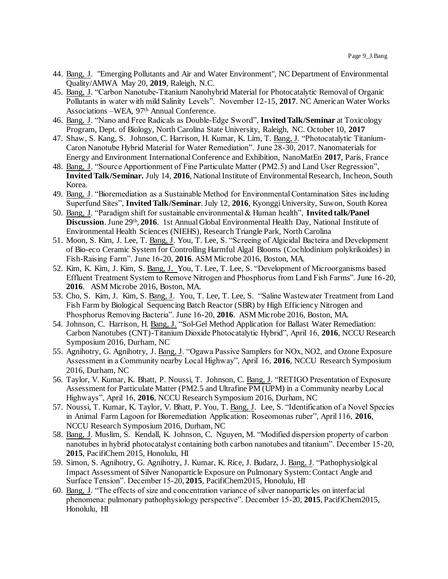- 44. Bang, J. "Emerging Pollutants and Air and Water Environment", NC Department of Environmental Quality/AMWA May 20, **2019**, Raleigh, N.C.
- 45. Bang, J. "Carbon Nanotube-Titanium Nanohybrid Material for Photocatalytic Removal of Organic Pollutants in water with mild Salinity Levels". November 12-15, **2017**. NC American Water Works Associations –WEA, 97th Annual Conference.
- 46. Bang, J. "Nano and Free Radicals as Double-Edge Sword", **Invited Talk/Seminar** at Toxicology Program, Dept. of Biology, North Carolina State University, Raleigh, NC. October 10, **2017**
- 47. Shaw, S. Kang, S. Johnson, C. Harrison, H. Kumar, K. Lim, T. Bang, J. "Photocatalytic Titanium-Caron Nanotube Hybrid Material for Water Remediation". June 28-30, 2017. Nanomaterials for Energy and Environment International Conference and Exhibition, NanoMatEn **2017**, Paris, France
- 48. Bang, J. "Source Apportionment of Fine Particulate Matter (PM2.5) and Land User Regression", **Invited Talk/Seminar.** July 14, **2016**, National Institute of Environmental Research, Incheon, South Korea.
- 49. Bang, J. "Bioremediation as a Sustainable Method for Environmental Contamination Sites including Superfund Sites", **Invited Talk/Seminar**. July 12, **2016**, Kyonggi University, Suwon, South Korea
- 50. Bang, J. "Paradigm shift for sustainable environmental & Human health", **Invited talk/Panel**  Discussion. June 29<sup>th</sup>, 2016. 1st Annual Global Environmental Health Day, National Institute of Environmental Health Sciences (NIEHS), Research Triangle Park, North Carolina
- 51. Moon, S. Kim, J. Lee, T. Bang, J. You, T. Lee, S. "Screeing of Algicidal Bacteira and Development of Bio-eco Ceramic System for Controlling Harmful Algal Blooms (Cochlodinium polykrikoides) in Fish-Raising Farm". June 16-20, **2016**. ASM Microbe 2016, Boston, MA.
- 52. Kim, K. Kim, J. Kim, S. Bang, J. You, T. Lee, T. Lee, S. "Development of Microorganisms based Effluent Treatment System to Remove Nitrogen and Phosphorus from Land Fish Farms". June 16-20, **2016**. ASM Microbe 2016, Boston, MA.
- 53. Cho, S. Kim, J. Kim, S. Bang, J. You, T. Lee, T. Lee, S. "Saline Wastewater Treatment from Land Fish Farm by Biological Sequencing Batch Reactor (SBR) by High Efficiency Nitrogen and Phosphorus Removing Bacteria". June 16-20, **2016**. ASM Microbe 2016, Boston, MA.
- 54. Johnson, C. Harrison, H. Bang, J. "Sol-Gel Method Application for Ballast Water Remediation: Carbon Nanotubes (CNT)-Titanium Dioxide Photocatalytic Hybrid", April 16, **2016**, NCCU Research Symposium 2016, Durham, NC
- 55. Agnihotry, G. Agnihotry, J. Bang, J. "Ogawa Passive Samplers for NOx, NO2, and Ozone Exposure Assessment in a Community nearby Local Highway", April 16, **2016**, NCCU Research Symposium 2016, Durham, NC
- 56. Taylor, V. Kumar, K. Bhatt, P. Noussi, T. Johnson, C. Bang, J. "RETIGO Presentation of Exposure Assessment for Particulate Matter (PM2.5 and Ultrafine PM (UPM) in a Community nearby Local Highways", April 16, **2016**, NCCU Research Symposium 2016, Durham, NC
- 57. Noussi, T. Kumar, K. Taylor, V. Bhatt, P. You, T. Bang, J. Lee, S. "Identification of a Novel Species in Animal Farm Lagoon for Bioremediation Application: Roseomonas ruber", April 116, **2016**, NCCU Research Symposium 2016, Durham, NC
- 58. Bang, J. Muslim, S. Kendall, K. Johnson, C. Nguyen, M. "Modified dispersion property of carbon nanotubes in hybrid photocatalyst containing both carbon nanotubes and titanium". December 15-20, **2015**, PacifiChem 2015, Honolulu, HI
- 59. Simon, S. Agnihotry, G. Agnihotry, J. Kumar, K. Rice, J. Budarz, J. Bang, J. "Pathophysiolgical Impact Assessment of Silver Nanoparticle Exposure on Pulmonary System: Contact Angle and Surface Tension". December 15-20, **2015**, PacifiChem2015, Honolulu, HI
- 60. Bang, J. "The effects of size and concentration variance of silver nanoparticles on interfacial phenomena: pulmonary pathophysiology perspective". December 15-20, **2015**, PacifiChem2015, Honolulu, HI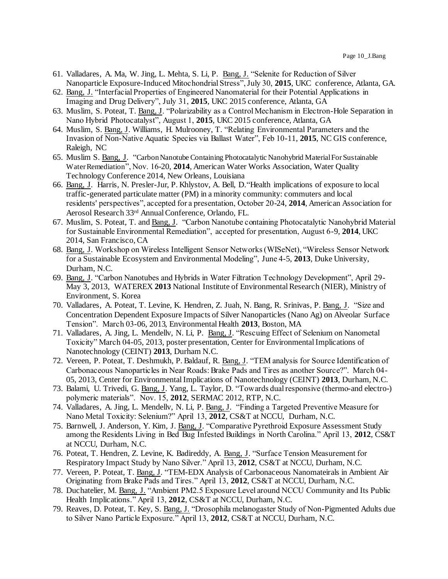- 61. Valladares, A. Ma, W. Jing, L. Mehta, S. Li, P. Bang, J. "Selenite for Reduction of Silver Nanoparticle Exposure-Induced Mitochondrial Stress", July 30, **2015**, UKC conference, Atlanta, GA.
- 62. Bang, J. "Interfacial Properties of Engineered Nanomaterial for their Potential Applications in Imaging and Drug Delivery", July 31, **2015**, UKC 2015 conference, Atlanta, GA
- 63. Muslim, S. Poteat, T. Bang, J. "Polarizability as a Control Mechanism in Electron-Hole Separation in Nano Hybrid Photocatalyst", August 1, **2015**, UKC 2015 conference, Atlanta, GA
- 64. Muslim, S. Bang, J. Williams, H. Mulrooney, T. "Relating Environmental Parameters and the Invasion of Non-Native Aquatic Species via Ballast Water", Feb 10-11, **2015**, NC GIS conference, Raleigh, NC
- 65. Muslim S. Bang, J. "Carbon Nanotube Containing Photocatalytic Nanohybrid Material For Sustainable Water Remediation", Nov. 16-20, **2014**, American Water Works Association, Water Quality Technology Conference 2014, New Orleans, Louisiana
- 66. Bang, J. Harris, N. Presler-Jur, P. Khlystov, A. Bell, D."Health implications of exposure to local traffic-generated particulate matter (PM) in a minority community: commuters and local residents' perspectives", accepted for a presentation, October 20-24, **2014**, American Association for Aerosol Research 33rd Annual Conference, Orlando, FL.
- 67. Muslim, S. Poteat, T. and Bang, J. "Carbon Nanotube containing Photocatalytic Nanohybrid Material for Sustainable Environmental Remediation", accepted for presentation, August 6-9, **2014**, UKC 2014, San Francisco, CA
- 68. Bang, J. Workshop on Wireless Intelligent Sensor Networks (WISeNet), "Wireless Sensor Network for a Sustainable Ecosystem and Environmental Modeling", June 4-5, **2013**, Duke University, Durham, N.C.
- 69. Bang, J. "Carbon Nanotubes and Hybrids in Water Filtration Technology Development", April 29- May 3, 2013, WATEREX **2013** National Institute of Environmental Research (NIER), Ministry of Environment, S. Korea
- 70. Valladares, A. Poteat, T. Levine, K. Hendren, Z. Juah, N. Bang, R. Srinivas, P. Bang, J. "Size and Concentration Dependent Exposure Impacts of Silver Nanoparticles (Nano Ag) on Alveolar Surface Tension". March 03-06, 2013, Environmental Health **2013**, Boston, MA
- 71. Valladares, A. Jing, L. Mendellv, N. Li, P. Bang, J. "Rescuing Effect of Selenium on Nanometal Toxicity" March 04-05, 2013, poster presentation, Center for Environmental Implications of Nanotechnology (CEINT) **2013**, Durham N.C.
- 72. Vereen, P. Poteat, T. Deshmukh, P. Baldauf, R. Bang, J. "TEM analysis for Source Identification of Carbonaceous Nanoparticles in Near Roads: Brake Pads and Tires as another Source?". March 04- 05, 2013, Center for Environmental Implications of Nanotechnology (CEINT) **2013**, Durham, N.C.
- 73. Balami, U. Trivedi, G. Bang, J. Yang, L. Taylor, D. "Towards dual responsive (thermo-and electro-) polymeric materials". Nov. 15, 2012, SERMAC 2012, RTP, N.C.
- 74. Valladares, A. Jing, L. Mendellv, N. Li, P. Bang, J. "Finding a Targeted Preventive Measure for Nano Metal Toxicity: Selenium?" April 13, **2012**, CS&T at NCCU, Durham, N.C.
- 75. Barnwell, J. Anderson, Y. Kim, J. Bang, J. "Comparative Pyrethroid Exposure Assessment Study among the Residents Living in Bed Bug Infested Buildings in North Carolina." April 13, **2012**, CS&T at NCCU, Durham, N.C.
- 76. Poteat, T. Hendren, Z. Levine, K. Badireddy, A. Bang, J. "Surface Tension Measurement for Respiratory Impact Study by Nano Silver." April 13, **2012**, CS&T at NCCU, Durham, N.C.
- 77. Vereen, P. Poteat, T. Bang, J. "TEM-EDX Analysis of Carbonaceous Nanomateirals in Ambient Air Originating from Brake Pads and Tires." April 13, **2012**, CS&T at NCCU, Durham, N.C.
- 78. Duchatelier, M. Bang, J. "Ambient PM2.5 Exposure Level around NCCU Community and Its Public Health Implications." April 13, **2012**, CS&T at NCCU, Durham, N.C.
- 79. Reaves, D. Poteat, T. Key, S. Bang, J. "Drosophila melanogaster Study of Non-Pigmented Adults due to Silver Nano Particle Exposure." April 13, **2012**, CS&T at NCCU, Durham, N.C.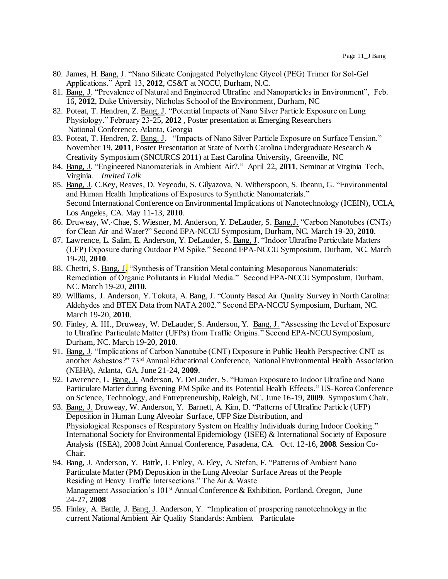- 80. James, H. Bang, J. "Nano Silicate Conjugated Polyethylene Glycol (PEG) Trimer for Sol-Gel Applications." April 13, **2012**, CS&T at NCCU, Durham, N.C.
- 81. Bang, J. "Prevalence of Natural and Engineered Ultrafine and Nanoparticles in Environment", Feb. 16, **2012**, Duke University, Nicholas School of the Environment, Durham, NC
- 82. Poteat, T. Hendren, Z. Bang, J. "Potential Impacts of Nano Silver Particle Exposure on Lung Physiology." February 23-25, **2012** , Poster presentation at Emerging Researchers National Conference, Atlanta, Georgia
- 83. Poteat, T. Hendren, Z. Bang, J. "Impacts of Nano Silver Particle Exposure on Surface Tension." November 19, **2011**, Poster Presentation at State of North Carolina Undergraduate Research & Creativity Symposium (SNCURCS 2011) at East Carolina University, Greenville, NC
- 84. Bang, J. "Engineered Nanomaterials in Ambient Air?." April 22, **2011**, Seminar at Virginia Tech, Virginia*. Invited Talk*
- 85. Bang, J. C.Key, Reaves, D. Yeyeodu, S. Gilyazova, N. Witherspoon, S. Ibeanu, G. "Environmental and Human Health Implications of Exposures to Synthetic Nanomaterials." Second International Conference on Environmental Implications of Nanotechnology (ICEIN), UCLA, Los Angeles, CA. May 11-13, **2010**.
- 86. Druweay, W.,Chae, S. Wiesner, M. Anderson, Y. DeLauder, S. Bang,J. "Carbon Nanotubes (CNTs) for Clean Air and Water?" Second EPA-NCCU Symposium, Durham, NC. March 19-20, **2010**.
- 87. Lawrence, L. Salim, E. Anderson, Y. DeLauder, S. Bang, J. "Indoor Ultrafine Particulate Matters (UFP) Exposure during Outdoor PM Spike." Second EPA-NCCU Symposium, Durham, NC. March 19-20, **2010**.
- 88. Chettri, S. Bang, J. "Synthesis of Transition Metal containing Mesoporous Nanomaterials: Remediation of Organic Pollutants in Fluidal Media." Second EPA-NCCU Symposium, Durham, NC. March 19-20, **2010**.
- 89. Williams, J. Anderson, Y. Tokuta, A. Bang, J. "County Based Air Quality Survey in North Carolina: Aldehydes and BTEX Data from NATA 2002." Second EPA-NCCU Symposium, Durham, NC. March 19-20, **2010**.
- 90. Finley, A. III., Druweay, W. DeLauder, S. Anderson, Y. Bang, J. "Assessing the Level of Exposure to Ultrafine Particulate Matter (UFPs) from Traffic Origins." Second EPA-NCCU Symposium, Durham, NC. March 19-20, **2010**.
- 91. Bang, J. "Implications of Carbon Nanotube (CNT) Exposure in Public Health Perspective: CNT as another Asbestos?" 73rd Annual Educational Conference, National Environmental Health Association (NEHA), Atlanta, GA, June 21-24, **2009**.
- 92. Lawrence, L. Bang, J. Anderson, Y. DeLauder. S. "Human Exposure to Indoor Ultrafine and Nano Particulate Matter during Evening PM Spike and its Potential Health Effects." US-Korea Conference on Science, Technology, and Entrepreneurship, Raleigh, NC. June 16-19, **2009**. Symposium Chair.
- 93. Bang, J. Druweay, W. Anderson, Y. Barnett, A. Kim, D. "Patterns of Ultrafine Particle (UFP) Deposition in Human Lung Alveolar Surface, UFP Size Distribution, and Physiological Responses of Respiratory System on Healthy Individuals during Indoor Cooking." International Society for Environmental Epidemiology (ISEE) & International Society of Exposure Analysis (ISEA), 2008 Joint Annual Conference, Pasadena, CA. Oct. 12-16, **2008**. Session Co-Chair.
- 94. Bang, J. Anderson, Y. Battle, J. Finley, A. Eley, A. Stefan, F. "Patterns of Ambient Nano Particulate Matter (PM) Deposition in the Lung Alveolar Surface Areas of the People Residing at Heavy Traffic Intersections." The Air & Waste Management Association's 101st Annual Conference & Exhibition, Portland, Oregon, June 24-27, **2008**
- 95. Finley, A. Battle, J. Bang, J. Anderson, Y. "Implication of prospering nanotechnology in the current National Ambient Air Quality Standards: Ambient Particulate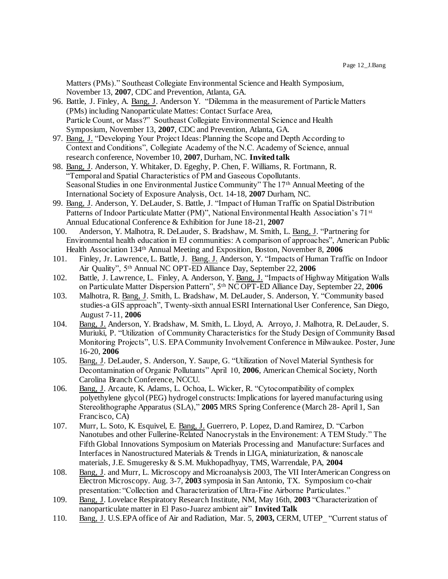Matters (PMs)." Southeast Collegiate Environmental Science and Health Symposium, November 13, **2007**, CDC and Prevention, Atlanta, GA.

- 96. Battle, J. Finley, A. Bang, J. Anderson Y. "Dilemma in the measurement of Particle Matters (PMs) including Nanoparticulate Mattes: Contact Surface Area, Particle Count, or Mass?" Southeast Collegiate Environmental Science and Health Symposium, November 13, **2007**, CDC and Prevention, Atlanta, GA.
- 97. Bang, J. "Developing Your Project Ideas: Planning the Scope and Depth According to Context and Conditions", Collegiate Academy of the N.C. Academy of Science, annual research conference, November 10, **2007**, Durham, NC. **Invited talk**
- 98. Bang, J. Anderson, Y. Whitaker, D. Egeghy, P. Chen, F. Williams, R. Fortmann, R. "Temporal and Spatial Characteristics of PM and Gaseous Copollutants. Seasonal Studies in one Environmental Justice Community" The 17<sup>th</sup> Annual Meeting of the International Society of Exposure Analysis, Oct. 14-18, **2007** Durham, NC.
- 99. Bang, J. Anderson, Y. DeLauder, S. Battle, J. "Impact of Human Traffic on Spatial Distribution Patterns of Indoor Particulate Matter (PM)", National Environmental Health Association's 71<sup>st</sup> Annual Educational Conference & Exhibition for June 18-21, **2007**
- 100. Anderson, Y. Malhotra, R. DeLauder, S. Bradshaw, M. Smith, L. Bang, J. "Partnering for Environmental health education in EJ communities: A comparison of approaches", American Public Health Association 134th Annual Meeting and Exposition, Boston, November 8, **2006**
- 101. Finley, Jr. Lawrence, L. Battle, J. Bang. J. Anderson, Y. "Impacts of Human Traffic on Indoor Air Quality", 5th Annual NC OPT-ED Alliance Day, September 22, **2006**
- 102. Battle, J. Lawrence, L. Finley, A. Anderson, Y. Bang, J. "Impacts of Highway Mitigation Walls on Particulate Matter Dispersion Pattern", 5th NC OPT-ED Alliance Day, September 22, **2006**
- 103. Malhotra, R. Bang, J. Smith, L. Bradshaw, M. DeLauder, S. Anderson, Y. "Community based studies-a GIS approach", Twenty-sixth annual ESRI International User Conference, San Diego, August 7-11, **2006**
- 104. Bang, J. Anderson, Y. Bradshaw, M. Smith, L. Lloyd, A. Arroyo, J. Malhotra, R. DeLauder, S. Muriuki, P. "Utilization of Community Characteristics for the Study Design of Community Based Monitoring Projects", U.S. EPA Community Involvement Conference in Milwaukee. Poster, June 16-20, **2006**
- 105. Bang, J. DeLauder, S. Anderson, Y. Saupe, G. "Utilization of Novel Material Synthesis for Decontamination of Organic Pollutants" April 10, **2006**, American Chemical Society, North Carolina Branch Conference, NCCU.
- 106. Bang, J. Arcaute, K. Adams, L. Ochoa, L. Wicker, R. "Cytocompatibility of complex polyethylene glycol (PEG) hydrogel constructs: Implications for layered manufacturing using Stereolithographe Apparatus (SLA)," **2005** MRS Spring Conference (March 28- April 1, San Francisco, CA)
- 107. Murr, L. Soto, K. Esquivel, E. Bang, J. Guerrero, P. Lopez, D.and Ramirez, D. "Carbon Nanotubes and other Fullerine-Related Nanocrystals in the Environement: A TEM Study." The Fifth Global Innovations Symposium on Materials Processing and Manufacture: Surfaces and Interfaces in Nanostructured Materials & Trends in LIGA, miniaturization, & nanoscale materials, J.E. Smugeresky & S.M. Mukhopadhyay, TMS, Warrendale, PA, **2004**
- 108. Bang, J. and Murr, L. Microscopy and Microanalysis 2003, The VII InterAmerican Congress on Electron Microscopy. Aug. 3-7, **2003** symposia in San Antonio, TX. Symposium co-chair presentation: "Collection and Characterization of Ultra-Fine Airborne Particulates."
- 109. Bang, J. Lovelace Respiratory Research Institute, NM, May 16th, **2003** "Characterization of nanoparticulate matter in El Paso-Juarez ambient air" **Invited Talk**
- 110. Bang, J. U.S.EPA office of Air and Radiation, Mar. 5, **2003,** CERM, UTEP\_ "Current status of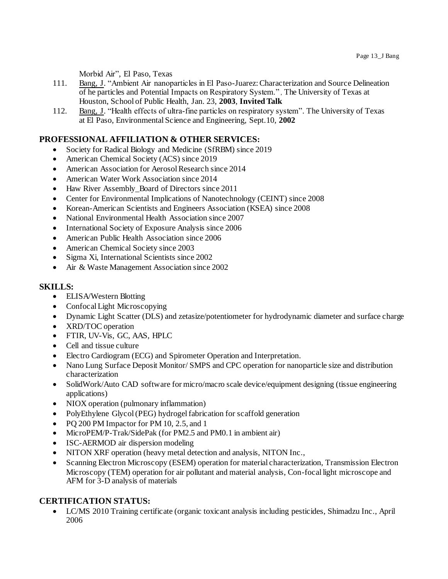Morbid Air", El Paso, Texas

- 111. Bang, J. "Ambient Air nanoparticles in El Paso-Juarez: Characterization and Source Delineation of he particles and Potential Impacts on Respiratory System." , The University of Texas at Houston, School of Public Health, Jan. 23, **2003**, **Invited Talk**
- 112. Bang, J. "Health effects of ultra-fine particles on respiratory system". The University of Texas at El Paso, Environmental Science and Engineering, Sept.10, **2002**

# **PROFESSIONAL AFFILIATION & OTHER SERVICES:**

- Society for Radical Biology and Medicine (SfRBM) since 2019
- American Chemical Society (ACS) since 2019
- American Association for Aerosol Research since 2014
- American Water Work Association since 2014
- Haw River Assembly\_Board of Directors since 2011
- Center for Environmental Implications of Nanotechnology (CEINT) since 2008
- Korean-American Scientists and Engineers Association (KSEA) since 2008
- National Environmental Health Association since 2007
- International Society of Exposure Analysis since 2006
- American Public Health Association since 2006
- American Chemical Society since 2003
- Sigma Xi, International Scientists since 2002
- Air & Waste Management Association since 2002

## **SKILLS:**

- ELISA/Western Blotting
- Confocal Light Microscopying
- Dynamic Light Scatter (DLS) and zetasize/potentiometer for hydrodynamic diameter and surface charge
- XRD/TOC operation
- FTIR, UV-Vis, GC, AAS, HPLC
- Cell and tissue culture
- Electro Cardiogram (ECG) and Spirometer Operation and Interpretation.
- Nano Lung Surface Deposit Monitor/ SMPS and CPC operation for nanoparticle size and distribution characterization
- SolidWork/Auto CAD software for micro/macro scale device/equipment designing (tissue engineering applications)
- NIOX operation (pulmonary inflammation)
- PolyEthylene Glycol (PEG) hydrogel fabrication for scaffold generation
- PO 200 PM Impactor for PM 10, 2.5, and 1
- MicroPEM/P-Trak/SidePak (for PM2.5 and PM0.1 in ambient air)
- ISC-AERMOD air dispersion modeling
- NITON XRF operation (heavy metal detection and analysis, NITON Inc.,
- Scanning Electron Microscopy (ESEM) operation for material characterization, Transmission Electron Microscopy (TEM) operation for air pollutant and material analysis, Con-focal light microscope and AFM for 3-D analysis of materials

# **CERTIFICATION STATUS:**

 LC/MS 2010 Training certificate (organic toxicant analysis including pesticides, Shimadzu Inc., April 2006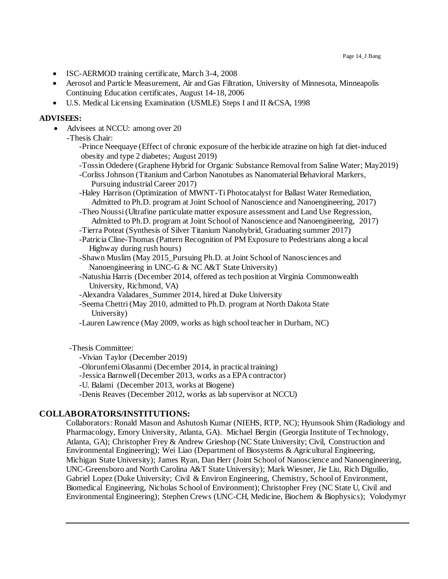- ISC-AERMOD training certificate, March 3-4, 2008
- Aerosol and Particle Measurement, Air and Gas Filtration, University of Minnesota, Minneapolis Continuing Education certificates, August 14-18, 2006
- U.S. Medical Licensing Examination (USMLE) Steps I and II &CSA, 1998

#### **ADVISEES:**

• Advisees at NCCU: among over 20

-Thesis Chair:

-Prince Neequaye (Effect of chronic exposure of the herbicide atrazine on high fat diet-induced obesity and type 2 diabetes; August 2019)

-Tossin Odedere (Graphene Hybrid for Organic Substance Removal from Saline Water; May2019)

-Corliss Johnson (Titanium and Carbon Nanotubes as Nanomaterial Behavioral Markers, Pursuing industrial Career 2017)

-Haley Harrison (Optimization of MWNT-Ti Photocatalyst for Ballast Water Remediation, Admitted to Ph.D. program at Joint School of Nanoscience and Nanoengineering, 2017)

- -Theo Noussi (Ultrafine particulate matter exposure assessment and Land Use Regression, Admitted to Ph.D. program at Joint School of Nanoscience and Nanoengineering, 2017)
- -Tierra Poteat (Synthesis of Silver Titanium Nanohybrid, Graduating summer 2017)
- -Patricia Cline-Thomas (Pattern Recognition of PM Exposure to Pedestrians along a local Highway during rush hours)
- -Shawn Muslim (May 2015 Pursuing Ph.D. at Joint School of Nanosciences and Nanoengineering in UNC-G & NC A&T State University)
- -Natushia Harris (December 2014, offered as tech position at Virginia Commonwealth University, Richmond, VA)
- -Alexandra Valadares Summer 2014, hired at Duke University

-Seema Chettri (May 2010, admitted to Ph.D. program at North Dakota State University)

-Lauren Lawrence (May 2009, works as high school teacher in Durham, NC)

#### -Thesis Committee:

- -Vivian Taylor (December 2019)
- -Olorunfemi Olasanmi (December 2014, in practical training)

-Jessica Barnwell (December 2013, works as a EPA contractor)

-U. Balami (December 2013, works at Biogene)

-Denis Reaves (December 2012, works as lab supervisor at NCCU)

#### **COLLABORATORS/INSTITUTIONS:**

Collaborators: Ronald Mason and Ashutosh Kumar (NIEHS, RTP, NC); Hyunsook Shim (Radiology and Pharmacology, Emory University, Atlanta, GA). Michael Bergin (Georgia Institute of Technology, Atlanta, GA); Christopher Frey & Andrew Grieshop (NC State University; Civil, Construction and Environmental Engineering); Wei Liao (Department of Biosystems & Agricultural Engineering, Michigan State University); James Ryan, Dan Herr (Joint School of Nanoscience and Nanoengineering, UNC-Greensboro and North Carolina A&T State University); Mark Wiesner, Jie Liu, Rich Diguilio, Gabriel Lopez (Duke University; Civil & Environ Engineering, Chemistry, School of Environment, Biomedical Engineering, Nicholas School of Environment); Christopher Frey (NC State U, Civil and Environmental Engineering); Stephen Crews (UNC-CH, Medicine, Biochem & Biophysics); Volodymyr